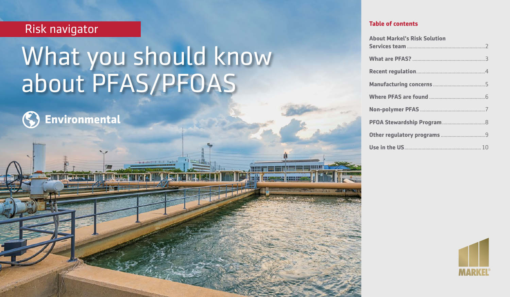## Risk navigator

# What you should know about PFAS/PFOAS



March 2020

| <b>About Markel's Risk Solution</b> |  |
|-------------------------------------|--|
|                                     |  |
|                                     |  |
|                                     |  |
|                                     |  |
|                                     |  |
|                                     |  |
|                                     |  |
|                                     |  |

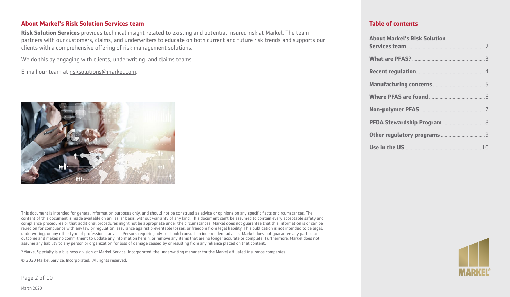#### **About Markel's Risk Solution Services team**

**Risk Solution Services** provides technical insight related to existing and potential insured risk at Markel. The team partners with our customers, claims, and underwriters to educate on both current and future risk trends and supports our clients with a comprehensive offering of risk management solutions.

We do this by engaging with clients, underwriting, and claims teams.

E-mail our team at [risksolutions@markel.com](mailto:risksolutions@markel.com).



This document is intended for general information purposes only, and should not be construed as advice or opinions on any specific facts or circumstances. The content of this document is made available on an "as is" basis, without warranty of any kind. This document can't be assumed to contain every acceptable safety and compliance procedures or that additional procedures might not be appropriate under the circumstances. Markel does not guarantee that this information is or can be relied on for compliance with any law or regulation, assurance against preventable losses, or freedom from legal liability. This publication is not intended to be legal, underwriting, or any other type of professional advice. Persons requiring advice should consult an independent adviser. Markel does not guarantee any particular outcome and makes no commitment to update any information herein, or remove any items that are no longer accurate or complete. Furthermore, Markel does not assume any liability to any person or organization for loss of damage caused by or resulting from any reliance placed on that content.

\*Markel Specialty is a business division of Markel Service, Incorporated, the underwriting manager for the Markel affiliated insurance companies.

© 2020 Markel Service, Incorporated. All rights reserved.

Page 2 of 10

| <b>About Markel's Risk Solution</b> |  |
|-------------------------------------|--|
|                                     |  |
|                                     |  |
|                                     |  |
|                                     |  |
|                                     |  |
|                                     |  |
|                                     |  |
|                                     |  |

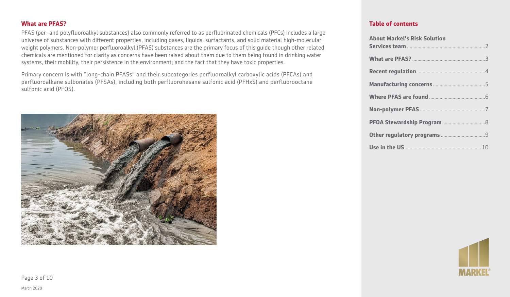March 2020

### **What are PFAS?**

PFAS (per- and polyfluoroalkyl substances) also commonly referred to as perfluorinated chemicals (PFCs) includes a large universe of substances with different properties, including gases, liquids, surfactants, and solid material high-molecular weight polymers. Non-polymer perfluoroalkyl (PFAS) substances are the primary focus of this guide though other related chemicals are mentioned for clarity as concerns have been raised about them due to them being found in drinking water systems, their mobility, their persistence in the environment; and the fact that they have toxic properties.

Primary concern is with "long-chain PFASs" and their subcategories perfluoroalkyl carboxylic acids (PFCAs) and perfluoroalkane sulbonates (PFSAs), including both perfluorohesane sulfonic acid (PFHxS) and perfluorooctane sulfonic acid (PFOS).

| <b>About Markel's Risk Solution</b> |  |
|-------------------------------------|--|
|                                     |  |
|                                     |  |
|                                     |  |
|                                     |  |
|                                     |  |
|                                     |  |
|                                     |  |
|                                     |  |

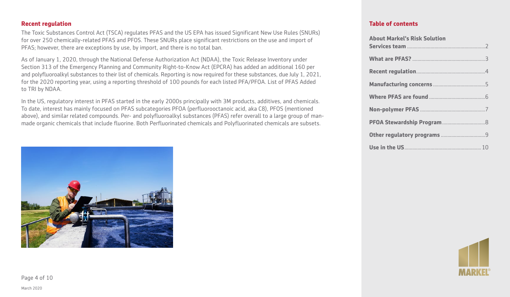March 2020 Page 4 of 10

#### **Recent regulation**

The Toxic Substances Control Act (TSCA) regulates PFAS and the US EPA has issued Significant New Use Rules (SNURs) for over 250 chemically-related PFAS and PFOS. These SNURs place significant restrictions on the use and import of PFAS; however, there are exceptions by use, by import, and there is no total ban.

As of January 1, 2020, through the National Defense Authorization Act (NDAA), the Toxic Release Inventory under Section 313 of the Emergency Planning and Community Right-to-Know Act (EPCRA) has added an additional 160 per and polyfluoroalkyl substances to their list of chemicals. Reporting is now required for these substances, due July 1, 2021, for the 2020 reporting year, using a reporting threshold of 100 pounds for each listed PFA/PFOA. List of PFAS Added to TRI by NDAA.

In the US, regulatory interest in PFAS started in the early 2000s principally with 3M products, additives, and chemicals. To date, interest has mainly focused on PFAS subcategories PFOA (perfluorooctanoic acid, aka C8), PFOS (mentioned above), and similar related compounds. Per- and polyfluoroalkyl substances (PFAS) refer overall to a large group of manmade organic chemicals that include fluorine. Both Perfluorinated chemicals and Polyfluorinated chemicals are subsets.

#### **Table of contents**

**About Markel's Risk Solution** 

| ADOUL MAIRELS RISK SOLULIOII |  |
|------------------------------|--|
|                              |  |
|                              |  |
|                              |  |
|                              |  |
|                              |  |
|                              |  |
|                              |  |
|                              |  |



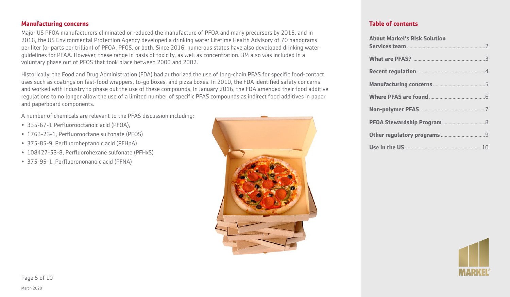March 2020

#### **Manufacturing concerns**

Major US PFOA manufacturers eliminated or reduced the manufacture of PFOA and many precursors by 2015, and in 2016, the US Environmental Protection Agency developed a drinking water Lifetime Health Advisory of 70 nanograms per liter (or parts per trillion) of PFOA, PFOS, or both. Since 2016, numerous states have also developed drinking water guidelines for PFAA. However, these range in basis of toxicity, as well as concentration. 3M also was included in a voluntary phase out of PFOS that took place between 2000 and 2002.

Historically, the Food and Drug Administration (FDA) had authorized the use of long-chain PFAS for specific food-contact uses such as coatings on fast-food wrappers, to-go boxes, and pizza boxes. In 2010, the FDA identified safety concerns and worked with industry to phase out the use of these compounds. In January 2016, the FDA amended their food additive regulations to no longer allow the use of a limited number of specific PFAS compounds as indirect food additives in paper and paperboard components.

A number of chemicals are relevant to the PFAS discussion including:

- 335-67-1 Perfluorooctanoic acid (PFOA),
- 1763-23-1, Perfluorooctane sulfonate (PFOS)
- 375-85-9, Perfluoroheptanoic acid (PFHpA)
- 108427-53-8, Perfluorohexane sulfonate (PFHxS)
- 375-95-1, Perfluorononanoic acid (PFNA)



| <b>About Markel's Risk Solution</b> |  |
|-------------------------------------|--|
|                                     |  |
|                                     |  |
|                                     |  |
|                                     |  |
|                                     |  |
|                                     |  |
|                                     |  |
|                                     |  |

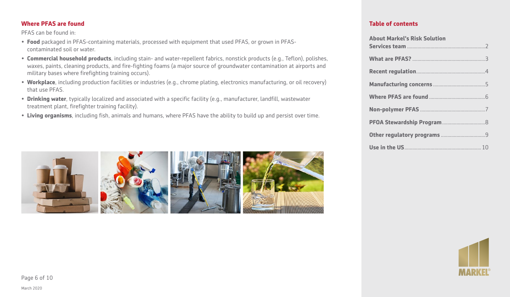#### **Where PFAS are found**

PFAS can be found in:

- **Food** packaged in PFAS-containing materials, processed with equipment that used PFAS, or grown in PFAScontaminated soil or water.
- **Commercial household products**, including stain- and water-repellent fabrics, nonstick products (e.g., Teflon), polishes, waxes, paints, cleaning products, and fire-fighting foams (a major source of groundwater contamination at airports and military bases where firefighting training occurs).
- **Workplace**, including production facilities or industries (e.g., chrome plating, electronics manufacturing, or oil recovery) that use PFAS.
- **Drinking water**, typically localized and associated with a specific facility (e.g., manufacturer, landfill, wastewater treatment plant, firefighter training facility).
- **Living organisms**, including fish, animals and humans, where PFAS have the ability to build up and persist over time.



#### **Table of contents**

| <b>About Markel's Risk Solution</b> |  |
|-------------------------------------|--|
|                                     |  |
|                                     |  |
|                                     |  |
|                                     |  |
|                                     |  |
|                                     |  |
|                                     |  |
|                                     |  |



Page 6 of 10

March 2020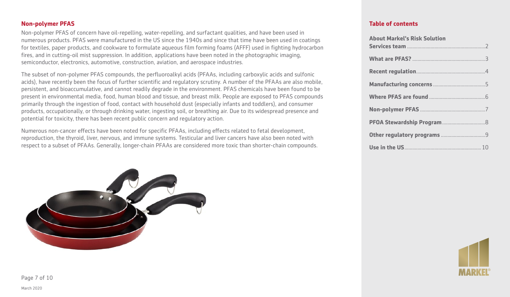#### **Non-polymer PFAS**

Non-polymer PFAS of concern have oil-repelling, water-repelling, and surfactant qualities, and have been used in numerous products. PFAS were manufactured in the US since the 1940s and since that time have been used in coatings for textiles, paper products, and cookware to formulate aqueous film forming foams (AFFF) used in fighting hydrocarbon fires, and in cutting-oil mist suppression. In addition, applications have been noted in the photographic imaging, semiconductor, electronics, automotive, construction, aviation, and aerospace industries.

The subset of non-polymer PFAS compounds, the perfluoroalkyl acids (PFAAs, including carboxylic acids and sulfonic acids), have recently been the focus of further scientific and regulatory scrutiny. A number of the PFAAs are also mobile, persistent, and bioaccumulative, and cannot readily degrade in the environment. PFAS chemicals have been found to be present in environmental media, food, human blood and tissue, and breast milk. People are exposed to PFAS compounds primarily through the ingestion of food, contact with household dust (especially infants and toddlers), and consumer products, occupationally, or through drinking water, ingesting soil, or breathing air. Due to its widespread presence and potential for toxicity, there has been recent public concern and regulatory action.

Numerous non-cancer effects have been noted for specific PFAAs, including effects related to fetal development, reproduction, the thyroid, liver, nervous, and immune systems. Testicular and liver cancers have also been noted with respect to a subset of PFAAs. Generally, longer-chain PFAAs are considered more toxic than shorter-chain compounds.



| <b>About Markel's Risk Solution</b> |  |
|-------------------------------------|--|
|                                     |  |
|                                     |  |
|                                     |  |
|                                     |  |
|                                     |  |
|                                     |  |
|                                     |  |
|                                     |  |



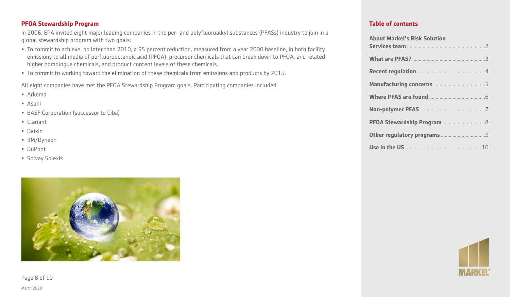#### **PFOA Stewardship Program**

In 2006, EPA invited eight major leading companies in the per- and polyfluoroalkyl substances (PFASs) industry to join in a global stewardship program with two goals:

- To commit to achieve, no later than 2010, a 95 percent reduction, measured from a year 2000 baseline, in both facility emissions to all media of perfluorooctanoic acid (PFOA), precursor chemicals that can break down to PFOA, and related higher homologue chemicals, and product content levels of these chemicals.
- To commit to working toward the elimination of these chemicals from emissions and products by 2015.

All eight companies have met the PFOA Stewardship Program goals. Participating companies included:

- Arkema
- Asahi
- BASF Corporation (successor to Ciba)
- Clariant
- Daikin
- 3M/Dyneon
- DuPont
- Solvay Solexis



Page 8 of 10

| <b>About Markel's Risk Solution</b> |  |
|-------------------------------------|--|
|                                     |  |
|                                     |  |
|                                     |  |
|                                     |  |
|                                     |  |
|                                     |  |
|                                     |  |
|                                     |  |

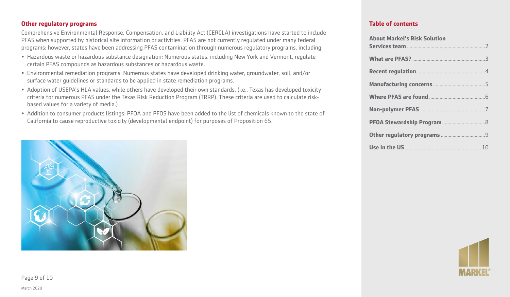#### **Other regulatory programs**

Comprehensive Environmental Response, Compensation, and Liability Act (CERCLA) investigations have started to include PFAS when supported by historical site information or activities. PFAS are not currently regulated under many federal programs; however, states have been addressing PFAS contamination through numerous regulatory programs, including:

- Hazardous waste or hazardous substance designation: Numerous states, including New York and Vermont, regulate certain PFAS compounds as hazardous substances or hazardous waste.
- Environmental remediation programs: Numerous states have developed drinking water, groundwater, soil, and/or surface water guidelines or standards to be applied in state remediation programs.
- Adoption of USEPA's HLA values, while others have developed their own standards. (i.e., Texas has developed toxicity criteria for numerous PFAS under the Texas Risk Reduction Program (TRRP). These criteria are used to calculate riskbased values for a variety of media.)
- Addition to consumer products listings: PFOA and PFOS have been added to the list of chemicals known to the state of California to cause reproductive toxicity (developmental endpoint) for purposes of Proposition 65.



#### **Table of contents**

| <b>About Markel's Risk Solution</b> |  |
|-------------------------------------|--|
|                                     |  |
|                                     |  |
|                                     |  |
|                                     |  |
|                                     |  |
|                                     |  |
|                                     |  |
|                                     |  |
|                                     |  |



Page 9 of 10

March 2020